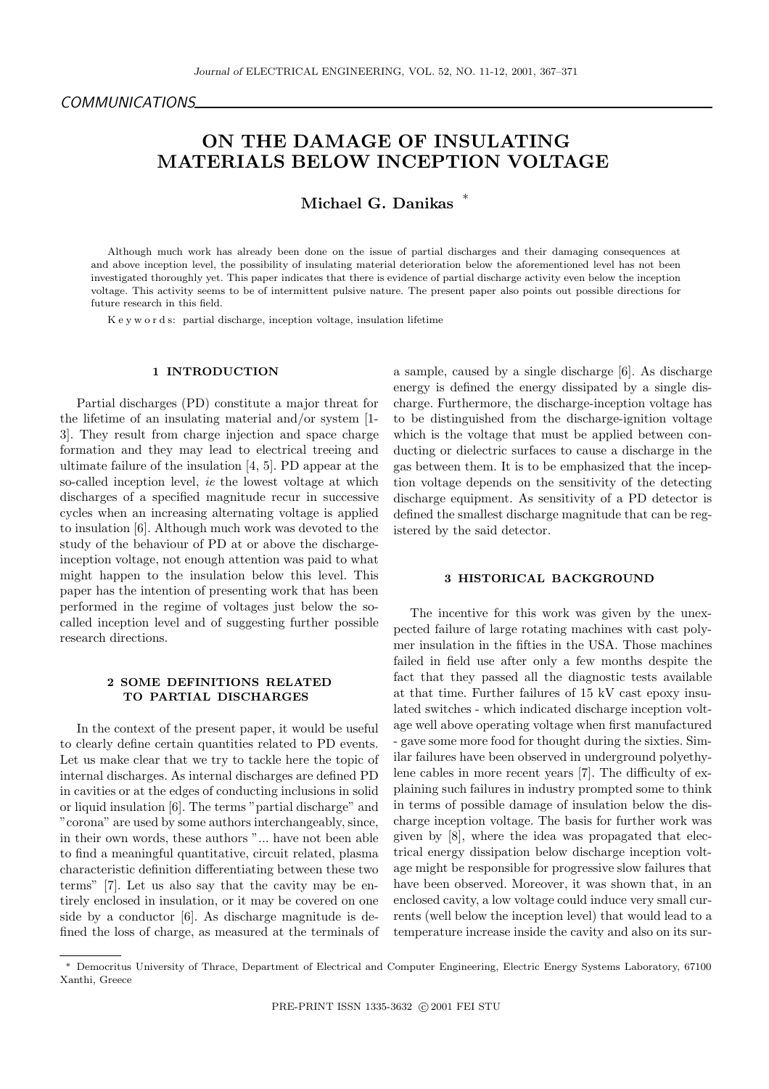# ON THE DAMAGE OF INSULATING MATERIALS BELOW INCEPTION VOLTAGE

# Michael G. Danikas<sup>\*</sup>

Although much work has already been done on the issue of partial discharges and their damaging consequences at and above inception level, the possibility of insulating material deterioration below the aforementioned level has not been investigated thoroughly yet. This paper indicates that there is evidence of partial discharge activity even below the inception voltage. This activity seems to be of intermittent pulsive nature. The present paper also points out possible directions for future research in this field.

K e y w o r d s: partial discharge, inception voltage, insulation lifetime

## 1 INTRODUCTION

Partial discharges (PD) constitute a major threat for the lifetime of an insulating material and/or system [1- 3]. They result from charge injection and space charge formation and they may lead to electrical treeing and ultimate failure of the insulation [4, 5]. PD appear at the so-called inception level, ie the lowest voltage at which discharges of a specified magnitude recur in successive cycles when an increasing alternating voltage is applied to insulation [6]. Although much work was devoted to the study of the behaviour of PD at or above the dischargeinception voltage, not enough attention was paid to what might happen to the insulation below this level. This paper has the intention of presenting work that has been performed in the regime of voltages just below the socalled inception level and of suggesting further possible research directions.

#### 2 SOME DEFINITIONS RELATED TO PARTIAL DISCHARGES

In the context of the present paper, it would be useful to clearly define certain quantities related to PD events. Let us make clear that we try to tackle here the topic of internal discharges. As internal discharges are defined PD in cavities or at the edges of conducting inclusions in solid or liquid insulation [6]. The terms "partial discharge" and "corona" are used by some authors interchangeably, since, in their own words, these authors "... have not been able to find a meaningful quantitative, circuit related, plasma characteristic definition differentiating between these two terms" [7]. Let us also say that the cavity may be entirely enclosed in insulation, or it may be covered on one side by a conductor [6]. As discharge magnitude is defined the loss of charge, as measured at the terminals of a sample, caused by a single discharge [6]. As discharge energy is defined the energy dissipated by a single discharge. Furthermore, the discharge-inception voltage has to be distinguished from the discharge-ignition voltage which is the voltage that must be applied between conducting or dielectric surfaces to cause a discharge in the gas between them. It is to be emphasized that the inception voltage depends on the sensitivity of the detecting discharge equipment. As sensitivity of a PD detector is defined the smallest discharge magnitude that can be registered by the said detector.

## 3 HISTORICAL BACKGROUND

The incentive for this work was given by the unexpected failure of large rotating machines with cast polymer insulation in the fifties in the USA. Those machines failed in field use after only a few months despite the fact that they passed all the diagnostic tests available at that time. Further failures of 15 kV cast epoxy insulated switches - which indicated discharge inception voltage well above operating voltage when first manufactured - gave some more food for thought during the sixties. Similar failures have been observed in underground polyethylene cables in more recent years [7]. The difficulty of explaining such failures in industry prompted some to think in terms of possible damage of insulation below the discharge inception voltage. The basis for further work was given by [8], where the idea was propagated that electrical energy dissipation below discharge inception voltage might be responsible for progressive slow failures that have been observed. Moreover, it was shown that, in an enclosed cavity, a low voltage could induce very small currents (well below the inception level) that would lead to a temperature increase inside the cavity and also on its sur-

<sup>∗</sup> Democritus University of Thrace, Department of Electrical and Computer Engineering, Electric Energy Systems Laboratory, 67100 Xanthi, Greece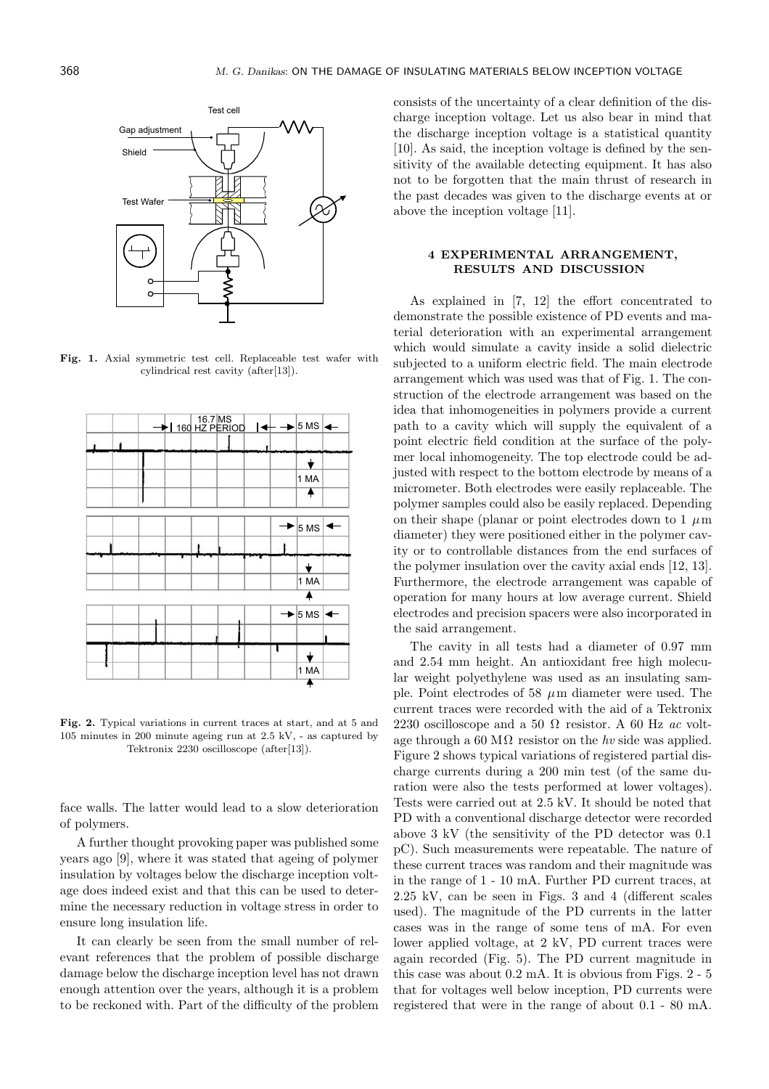

Fig. 1. Axial symmetric test cell. Replaceable test wafer with cylindrical rest cavity (after[13]).



Fig. 2. Typical variations in current traces at start, and at 5 and 105 minutes in 200 minute ageing run at 2.5 kV, - as captured by Tektronix 2230 oscilloscope (after[13]).

face walls. The latter would lead to a slow deterioration of polymers.

A further thought provoking paper was published some years ago [9], where it was stated that ageing of polymer insulation by voltages below the discharge inception voltage does indeed exist and that this can be used to determine the necessary reduction in voltage stress in order to ensure long insulation life.

It can clearly be seen from the small number of relevant references that the problem of possible discharge damage below the discharge inception level has not drawn enough attention over the years, although it is a problem to be reckoned with. Part of the difficulty of the problem consists of the uncertainty of a clear definition of the discharge inception voltage. Let us also bear in mind that the discharge inception voltage is a statistical quantity [10]. As said, the inception voltage is defined by the sensitivity of the available detecting equipment. It has also not to be forgotten that the main thrust of research in the past decades was given to the discharge events at or above the inception voltage [11].

# 4 EXPERIMENTAL ARRANGEMENT, RESULTS AND DISCUSSION

As explained in [7, 12] the effort concentrated to demonstrate the possible existence of PD events and material deterioration with an experimental arrangement which would simulate a cavity inside a solid dielectric subjected to a uniform electric field. The main electrode arrangement which was used was that of Fig. 1. The construction of the electrode arrangement was based on the idea that inhomogeneities in polymers provide a current path to a cavity which will supply the equivalent of a point electric field condition at the surface of the polymer local inhomogeneity. The top electrode could be adjusted with respect to the bottom electrode by means of a micrometer. Both electrodes were easily replaceable. The polymer samples could also be easily replaced. Depending on their shape (planar or point electrodes down to 1  $\mu$ m diameter) they were positioned either in the polymer cavity or to controllable distances from the end surfaces of the polymer insulation over the cavity axial ends [12, 13]. Furthermore, the electrode arrangement was capable of operation for many hours at low average current. Shield electrodes and precision spacers were also incorporated in the said arrangement.

The cavity in all tests had a diameter of 0.97 mm and 2.54 mm height. An antioxidant free high molecular weight polyethylene was used as an insulating sample. Point electrodes of 58  $\mu$ m diameter were used. The current traces were recorded with the aid of a Tektronix 2230 oscilloscope and a 50  $\Omega$  resistor. A 60 Hz ac voltage through a 60 M $\Omega$  resistor on the hv side was applied. Figure 2 shows typical variations of registered partial discharge currents during a 200 min test (of the same duration were also the tests performed at lower voltages). Tests were carried out at 2.5 kV. It should be noted that PD with a conventional discharge detector were recorded above 3 kV (the sensitivity of the PD detector was 0.1 pC). Such measurements were repeatable. The nature of these current traces was random and their magnitude was in the range of 1 - 10 mA. Further PD current traces, at 2.25 kV, can be seen in Figs. 3 and 4 (different scales used). The magnitude of the PD currents in the latter cases was in the range of some tens of mA. For even lower applied voltage, at 2 kV, PD current traces were again recorded (Fig. 5). The PD current magnitude in this case was about 0.2 mA. It is obvious from Figs. 2 - 5 that for voltages well below inception, PD currents were registered that were in the range of about 0.1 - 80 mA.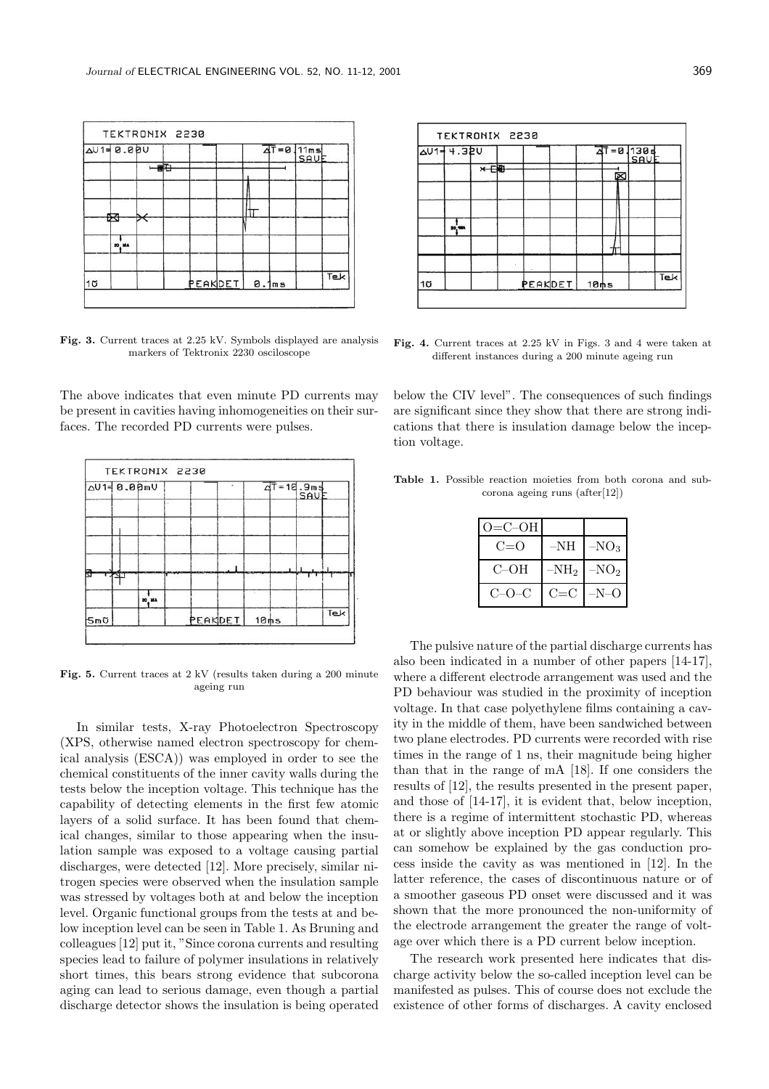|           | $\sqrt{401} = 0.000$ |      |         |       | $\frac{\overline{AT}}{=0.11ms}$ |     |
|-----------|----------------------|------|---------|-------|---------------------------------|-----|
|           |                      | F(T) |         |       |                                 |     |
|           |                      |      |         |       |                                 |     |
|           | ≅                    |      |         |       |                                 |     |
|           | 20, MA               |      |         |       |                                 |     |
| $1\sigma$ |                      |      | PEAKDET | 0.1ms |                                 | Tek |

Fig. 3. Current traces at 2.25 kV. Symbols displayed are analysis markers of Tektronix 2230 osciloscope

The above indicates that even minute PD currents may be present in cavities having inhomogeneities on their surfaces. The recorded PD currents were pulses.

| $\Delta U1 = 0.00mU$ |       |         |      | $4T = 10.9ms$<br>SAV |     |
|----------------------|-------|---------|------|----------------------|-----|
|                      |       |         |      |                      |     |
|                      |       |         |      |                      |     |
| <b>Sm</b>            | 20 MA | PEAKDET | 10ms |                      | Tek |

Fig. 5. Current traces at 2 kV (results taken during a 200 minute ageing run

In similar tests, X-ray Photoelectron Spectroscopy (XPS, otherwise named electron spectroscopy for chemical analysis (ESCA)) was employed in order to see the chemical constituents of the inner cavity walls during the tests below the inception voltage. This technique has the capability of detecting elements in the first few atomic layers of a solid surface. It has been found that chemical changes, similar to those appearing when the insulation sample was exposed to a voltage causing partial discharges, were detected [12]. More precisely, similar nitrogen species were observed when the insulation sample was stressed by voltages both at and below the inception level. Organic functional groups from the tests at and below inception level can be seen in Table 1. As Bruning and colleagues [12] put it, "Since corona currents and resulting species lead to failure of polymer insulations in relatively short times, this bears strong evidence that subcorona aging can lead to serious damage, even though a partial discharge detector shows the insulation is being operated

|           | AU1= 4.32U |         |         |      | $4T = 0.1308$ |     |
|-----------|------------|---------|---------|------|---------------|-----|
|           |            | $x - 1$ |         |      |               |     |
|           |            |         |         |      |               |     |
|           | 10, MA     |         |         |      |               |     |
|           |            |         |         |      |               |     |
| $1\sigma$ |            |         | PEAKDET | 10ms |               | Tek |

Fig. 4. Current traces at 2.25 kV in Figs. 3 and 4 were taken at different instances during a 200 minute ageing run

below the CIV level". The consequences of such findings are significant since they show that there are strong indications that there is insulation damage below the inception voltage.

Table 1. Possible reaction moieties from both corona and subcorona ageing runs (after[12])

| $O=C-OH$    |                  |         |
|-------------|------------------|---------|
| $C=0$       | $-NH$            | $-NO_3$ |
| $C$ – $OH$  | -NH <sub>2</sub> | $-NO2$  |
| $C = O - C$ | $C = C$          | $-N-()$ |

The pulsive nature of the partial discharge currents has also been indicated in a number of other papers [14-17], where a different electrode arrangement was used and the PD behaviour was studied in the proximity of inception voltage. In that case polyethylene films containing a cavity in the middle of them, have been sandwiched between two plane electrodes. PD currents were recorded with rise times in the range of 1 ns, their magnitude being higher than that in the range of mA [18]. If one considers the results of [12], the results presented in the present paper, and those of [14-17], it is evident that, below inception, there is a regime of intermittent stochastic PD, whereas at or slightly above inception PD appear regularly. This can somehow be explained by the gas conduction process inside the cavity as was mentioned in [12]. In the latter reference, the cases of discontinuous nature or of a smoother gaseous PD onset were discussed and it was shown that the more pronounced the non-uniformity of the electrode arrangement the greater the range of voltage over which there is a PD current below inception.

The research work presented here indicates that discharge activity below the so-called inception level can be manifested as pulses. This of course does not exclude the existence of other forms of discharges. A cavity enclosed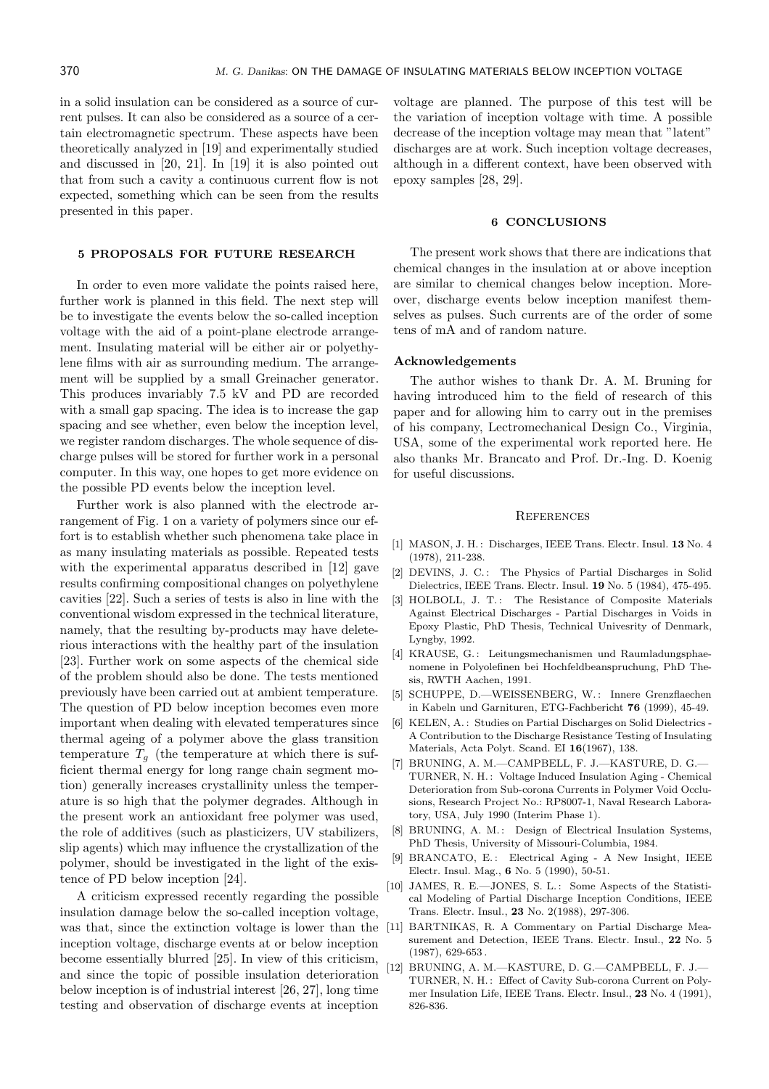in a solid insulation can be considered as a source of current pulses. It can also be considered as a source of a certain electromagnetic spectrum. These aspects have been theoretically analyzed in [19] and experimentally studied and discussed in [20, 21]. In [19] it is also pointed out that from such a cavity a continuous current flow is not expected, something which can be seen from the results presented in this paper.

## 5 PROPOSALS FOR FUTURE RESEARCH

In order to even more validate the points raised here, further work is planned in this field. The next step will be to investigate the events below the so-called inception voltage with the aid of a point-plane electrode arrangement. Insulating material will be either air or polyethylene films with air as surrounding medium. The arrangement will be supplied by a small Greinacher generator. This produces invariably 7.5 kV and PD are recorded with a small gap spacing. The idea is to increase the gap spacing and see whether, even below the inception level, we register random discharges. The whole sequence of discharge pulses will be stored for further work in a personal computer. In this way, one hopes to get more evidence on the possible PD events below the inception level.

Further work is also planned with the electrode arrangement of Fig. 1 on a variety of polymers since our effort is to establish whether such phenomena take place in as many insulating materials as possible. Repeated tests with the experimental apparatus described in [12] gave results confirming compositional changes on polyethylene cavities [22]. Such a series of tests is also in line with the conventional wisdom expressed in the technical literature, namely, that the resulting by-products may have deleterious interactions with the healthy part of the insulation [23]. Further work on some aspects of the chemical side of the problem should also be done. The tests mentioned previously have been carried out at ambient temperature. The question of PD below inception becomes even more important when dealing with elevated temperatures since thermal ageing of a polymer above the glass transition temperature  $T_q$  (the temperature at which there is sufficient thermal energy for long range chain segment motion) generally increases crystallinity unless the temperature is so high that the polymer degrades. Although in the present work an antioxidant free polymer was used, the role of additives (such as plasticizers, UV stabilizers, slip agents) which may influence the crystallization of the polymer, should be investigated in the light of the existence of PD below inception [24].

A criticism expressed recently regarding the possible insulation damage below the so-called inception voltage, was that, since the extinction voltage is lower than the inception voltage, discharge events at or below inception become essentially blurred [25]. In view of this criticism, and since the topic of possible insulation deterioration below inception is of industrial interest [26, 27], long time testing and observation of discharge events at inception

voltage are planned. The purpose of this test will be the variation of inception voltage with time. A possible decrease of the inception voltage may mean that "latent" discharges are at work. Such inception voltage decreases, although in a different context, have been observed with epoxy samples [28, 29].

## 6 CONCLUSIONS

The present work shows that there are indications that chemical changes in the insulation at or above inception are similar to chemical changes below inception. Moreover, discharge events below inception manifest themselves as pulses. Such currents are of the order of some tens of mA and of random nature.

#### Acknowledgements

The author wishes to thank Dr. A. M. Bruning for having introduced him to the field of research of this paper and for allowing him to carry out in the premises of his company, Lectromechanical Design Co., Virginia, USA, some of the experimental work reported here. He also thanks Mr. Brancato and Prof. Dr.-Ing. D. Koenig for useful discussions.

#### **REFERENCES**

- [1] MASON, J. H.: Discharges, IEEE Trans. Electr. Insul. 13 No. 4 (1978), 211-238.
- [2] DEVINS, J. C.: The Physics of Partial Discharges in Solid Dielectrics, IEEE Trans. Electr. Insul. 19 No. 5 (1984), 475-495.
- [3] HOLBOLL, J. T.: The Resistance of Composite Materials Against Electrical Discharges - Partial Discharges in Voids in Epoxy Plastic, PhD Thesis, Technical Univesrity of Denmark, Lyngby, 1992.
- [4] KRAUSE, G.: Leitungsmechanismen und Raumladungsphaenomene in Polyolefinen bei Hochfeldbeanspruchung, PhD Thesis, RWTH Aachen, 1991.
- [5] SCHUPPE, D.-WEISSENBERG, W.: Innere Grenzflaechen in Kabeln und Garnituren, ETG-Fachbericht 76 (1999), 45-49.
- [6] KELEN, A.: Studies on Partial Discharges on Solid Dielectrics -A Contribution to the Discharge Resistance Testing of Insulating Materials, Acta Polyt. Scand. EI 16(1967), 138.
- [7] BRUNING, A. M.—CAMPBELL, F. J.—KASTURE, D. G.— TURNER, N. H. : Voltage Induced Insulation Aging - Chemical Deterioration from Sub-corona Currents in Polymer Void Occlusions, Research Project No.: RP8007-1, Naval Research Laboratory, USA, July 1990 (Interim Phase 1).
- [8] BRUNING, A. M.: Design of Electrical Insulation Systems, PhD Thesis, University of Missouri-Columbia, 1984.
- [9] BRANCATO, E. : Electrical Aging A New Insight, IEEE Electr. Insul. Mag., 6 No. 5 (1990), 50-51.
- [10] JAMES, R. E.—JONES, S. L. : Some Aspects of the Statistical Modeling of Partial Discharge Inception Conditions, IEEE Trans. Electr. Insul., 23 No. 2(1988), 297-306.
- [11] BARTNIKAS, R. A Commentary on Partial Discharge Measurement and Detection, IEEE Trans. Electr. Insul., 22 No. 5 (1987), 629-653 .
- [12] BRUNING, A. M.—KASTURE, D. G.—CAMPBELL, F. J.— TURNER, N. H.: Effect of Cavity Sub-corona Current on Polymer Insulation Life, IEEE Trans. Electr. Insul., 23 No. 4 (1991), 826-836.